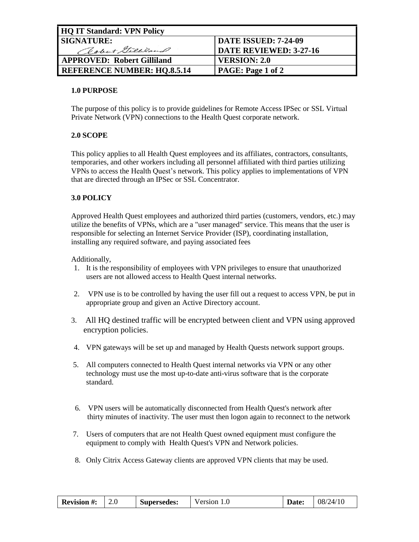| <b>HQ IT Standard: VPN Policy</b>  |                               |  |  |
|------------------------------------|-------------------------------|--|--|
| <b>SIGNATURE:</b>                  | <b>DATE ISSUED: 7-24-09</b>   |  |  |
| Robert Gilliland                   | <b>DATE REVIEWED: 3-27-16</b> |  |  |
| <b>APPROVED: Robert Gilliland</b>  | VERSION: 2.0                  |  |  |
| <b>REFERENCE NUMBER: HQ.8.5.14</b> | PAGE: Page 1 of 2             |  |  |

## **1.0 PURPOSE**

The purpose of this policy is to provide guidelines for Remote Access IPSec or SSL Virtual Private Network (VPN) connections to the Health Quest corporate network.

# **2.0 SCOPE**

This policy applies to all Health Quest employees and its affiliates, contractors, consultants, temporaries, and other workers including all personnel affiliated with third parties utilizing VPNs to access the Health Quest's network. This policy applies to implementations of VPN that are directed through an IPSec or SSL Concentrator.

## **3.0 POLICY**

Approved Health Quest employees and authorized third parties (customers, vendors, etc.) may utilize the benefits of VPNs, which are a "user managed" service. This means that the user is responsible for selecting an Internet Service Provider (ISP), coordinating installation, installing any required software, and paying associated fees

Additionally,

- 1. It is the responsibility of employees with VPN privileges to ensure that unauthorized users are not allowed access to Health Quest internal networks.
- 2. VPN use is to be controlled by having the user fill out a request to access VPN, be put in appropriate group and given an Active Directory account.
- 3. All HQ destined traffic will be encrypted between client and VPN using approved encryption policies.
- 4. VPN gateways will be set up and managed by Health Quests network support groups.
- 5. All computers connected to Health Quest internal networks via VPN or any other technology must use the most up-to-date anti-virus software that is the corporate standard.
- 6. VPN users will be automatically disconnected from Health Quest's network after thirty minutes of inactivity. The user must then logon again to reconnect to the network
- 7. Users of computers that are not Health Quest owned equipment must configure the equipment to comply with Health Quest's VPN and Network policies.
- 8. Only Citrix Access Gateway clients are approved VPN clients that may be used.

| <b>Revision #:</b> | Z.U | Supersedes: | Version $1.0$ | <b>Date:</b> | 08/24/10 |
|--------------------|-----|-------------|---------------|--------------|----------|
|--------------------|-----|-------------|---------------|--------------|----------|